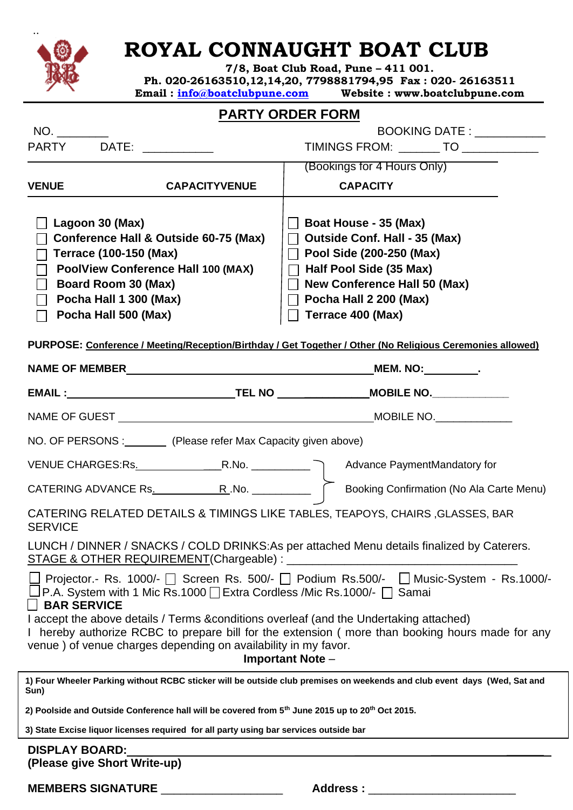

# **ROYAL CONNAUGHT BOAT CLUB**

**7/8, Boat Club Road, Pune – 411 001. Ph. 020-26163510,12,14,20, 7798881794,95 Fax : 020- 26163511 Email : [info@boatclubpune.com](mailto:info@boatclubpune.com) Website : www.boatclubpune.com**

### **PARTY ORDER FORM**

|                                                                                                                                  |                                                                                                                         | <u>PARTI URDER FURM</u>                                                                                                                                                                                                                                                                                                                                                      |
|----------------------------------------------------------------------------------------------------------------------------------|-------------------------------------------------------------------------------------------------------------------------|------------------------------------------------------------------------------------------------------------------------------------------------------------------------------------------------------------------------------------------------------------------------------------------------------------------------------------------------------------------------------|
| NO.                                                                                                                              |                                                                                                                         | BOOKING DATE: NATIONAL RESEARCH                                                                                                                                                                                                                                                                                                                                              |
| PARTY DATE: NATE:                                                                                                                |                                                                                                                         | TIMINGS FROM: ________ TO ____________                                                                                                                                                                                                                                                                                                                                       |
|                                                                                                                                  |                                                                                                                         | (Bookings for 4 Hours Only)                                                                                                                                                                                                                                                                                                                                                  |
| <b>VENUE</b>                                                                                                                     | <b>CAPACITYVENUE</b>                                                                                                    | <b>CAPACITY</b>                                                                                                                                                                                                                                                                                                                                                              |
| Lagoon 30 (Max)<br><b>Terrace (100-150 (Max)</b><br><b>Board Room 30 (Max)</b><br>Pocha Hall 1 300 (Max)<br>Pocha Hall 500 (Max) | Conference Hall & Outside 60-75 (Max)<br><b>PoolView Conference Hall 100 (MAX)</b>                                      | Boat House - 35 (Max)<br><b>Outside Conf. Hall - 35 (Max)</b><br>$\perp$<br>Pool Side (200-250 (Max)<br>$\Box$<br>$\Box$ Half Pool Side (35 Max)<br>New Conference Hall 50 (Max)<br>$\Box$ Pocha Hall 2 200 (Max)<br>$\overline{\phantom{a}}$ Terrace 400 (Max)<br>PURPOSE: Conference / Meeting/Reception/Birthday / Get Together / Other (No Religious Ceremonies allowed) |
|                                                                                                                                  |                                                                                                                         |                                                                                                                                                                                                                                                                                                                                                                              |
|                                                                                                                                  |                                                                                                                         |                                                                                                                                                                                                                                                                                                                                                                              |
|                                                                                                                                  |                                                                                                                         |                                                                                                                                                                                                                                                                                                                                                                              |
|                                                                                                                                  | NO. OF PERSONS : (Please refer Max Capacity given above)                                                                |                                                                                                                                                                                                                                                                                                                                                                              |
|                                                                                                                                  |                                                                                                                         |                                                                                                                                                                                                                                                                                                                                                                              |
|                                                                                                                                  |                                                                                                                         |                                                                                                                                                                                                                                                                                                                                                                              |
| <b>SERVICE</b>                                                                                                                   |                                                                                                                         | CATERING RELATED DETAILS & TIMINGS LIKE TABLES, TEAPOYS, CHAIRS, GLASSES, BAR                                                                                                                                                                                                                                                                                                |
|                                                                                                                                  | <b>STAGE &amp; OTHER REQUIREMENT(Chargeable) : _</b>                                                                    | LUNCH / DINNER / SNACKS / COLD DRINKS:As per attached Menu details finalized by Caterers.                                                                                                                                                                                                                                                                                    |
| │ │ BAR SERVICE                                                                                                                  | □ P.A. System with 1 Mic Rs.1000 □ Extra Cordless /Mic Rs.1000/- □ Samai                                                | $\Box$ Projector.- Rs. 1000/- $\Box$ Screen Rs. 500/- $\Box$ Podium Rs.500/- $\Box$ Music-System - Rs.1000/-                                                                                                                                                                                                                                                                 |
|                                                                                                                                  | venue) of venue charges depending on availability in my favor.                                                          | I accept the above details / Terms & conditions overleaf (and the Undertaking attached)<br>I hereby authorize RCBC to prepare bill for the extension (more than booking hours made for any<br>Important Note -                                                                                                                                                               |
| Sun)                                                                                                                             |                                                                                                                         | 1) Four Wheeler Parking without RCBC sticker will be outside club premises on weekends and club event days (Wed, Sat and                                                                                                                                                                                                                                                     |
|                                                                                                                                  | 2) Poolside and Outside Conference hall will be covered from 5 <sup>th</sup> June 2015 up to 20 <sup>th</sup> Oct 2015. |                                                                                                                                                                                                                                                                                                                                                                              |
|                                                                                                                                  | 3) State Excise liquor licenses required for all party using bar services outside bar                                   |                                                                                                                                                                                                                                                                                                                                                                              |
| <b>DISPLAY BOARD:</b><br>(Please give Short Write-up)                                                                            |                                                                                                                         |                                                                                                                                                                                                                                                                                                                                                                              |

**MEMBERS SIGNATURE** \_\_\_\_\_\_\_\_\_\_\_\_\_\_\_\_\_\_\_ **Address :** \_\_\_\_\_\_\_\_\_\_\_\_\_\_\_\_\_\_\_\_\_\_\_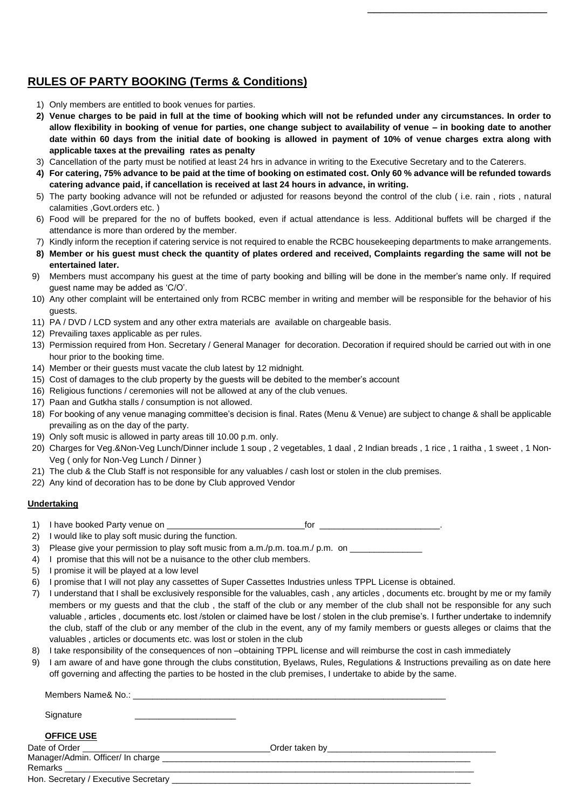### **RULES OF PARTY BOOKING (Terms & Conditions)**

- 1) Only members are entitled to book venues for parties.
- **2) Venue charges to be paid in full at the time of booking which will not be refunded under any circumstances. In order to allow flexibility in booking of venue for parties, one change subject to availability of venue – in booking date to another date within 60 days from the initial date of booking is allowed in payment of 10% of venue charges extra along with applicable taxes at the prevailing rates as penalty**

 $\overline{\phantom{a}}$  , and the contract of the contract of the contract of the contract of the contract of the contract of the contract of the contract of the contract of the contract of the contract of the contract of the contrac

- 3) Cancellation of the party must be notified at least 24 hrs in advance in writing to the Executive Secretary and to the Caterers.
- **4) For catering, 75% advance to be paid at the time of booking on estimated cost. Only 60 % advance will be refunded towards catering advance paid, if cancellation is received at last 24 hours in advance, in writing.**
- 5) The party booking advance will not be refunded or adjusted for reasons beyond the control of the club ( i.e. rain , riots , natural calamities ,Govt.orders etc. )
- 6) Food will be prepared for the no of buffets booked, even if actual attendance is less. Additional buffets will be charged if the attendance is more than ordered by the member.
- 7) Kindly inform the reception if catering service is not required to enable the RCBC housekeeping departments to make arrangements.
- **8) Member or his guest must check the quantity of plates ordered and received, Complaints regarding the same will not be entertained later.**
- 9) Members must accompany his guest at the time of party booking and billing will be done in the member's name only. If required guest name may be added as 'C/O'.
- 10) Any other complaint will be entertained only from RCBC member in writing and member will be responsible for the behavior of his guests.
- 11) PA / DVD / LCD system and any other extra materials are available on chargeable basis.
- 12) Prevailing taxes applicable as per rules.
- 13) Permission required from Hon. Secretary / General Manager for decoration. Decoration if required should be carried out with in one hour prior to the booking time.
- 14) Member or their guests must vacate the club latest by 12 midnight.
- 15) Cost of damages to the club property by the guests will be debited to the member's account
- 16) Religious functions / ceremonies will not be allowed at any of the club venues.
- 17) Paan and Gutkha stalls / consumption is not allowed.
- 18) For booking of any venue managing committee's decision is final. Rates (Menu & Venue) are subject to change & shall be applicable prevailing as on the day of the party.
- 19) Only soft music is allowed in party areas till 10.00 p.m. only.
- 20) Charges for Veg.&Non-Veg Lunch/Dinner include 1 soup , 2 vegetables, 1 daal , 2 Indian breads , 1 rice , 1 raitha , 1 sweet , 1 Non-Veg ( only for Non-Veg Lunch / Dinner )
- 21) The club & the Club Staff is not responsible for any valuables / cash lost or stolen in the club premises.
- 22) Any kind of decoration has to be done by Club approved Vendor

#### **Undertaking**

1) I have booked Party venue on **for the same of the set of the set of the set of the set of the set of the set of the set of the set of the set of the set of the set of the set of the set of the set of the set of the set** 

- 2) I would like to play soft music during the function.
- 3) Please give your permission to play soft music from a.m./p.m. toa.m./ p.m. on \_\_\_\_\_\_\_\_\_\_\_\_\_\_\_\_\_\_\_\_\_\_\_\_\_\_\_\_\_
- 4) I promise that this will not be a nuisance to the other club members.
- 5) I promise it will be played at a low level
- 6) I promise that I will not play any cassettes of Super Cassettes Industries unless TPPL License is obtained.
- 7) I understand that I shall be exclusively responsible for the valuables, cash , any articles , documents etc. brought by me or my family members or my guests and that the club , the staff of the club or any member of the club shall not be responsible for any such valuable , articles , documents etc. lost /stolen or claimed have be lost / stolen in the club premise's. I further undertake to indemnify the club, staff of the club or any member of the club in the event, any of my family members or guests alleges or claims that the valuables , articles or documents etc. was lost or stolen in the club
- 8) I take responsibility of the consequences of non –obtaining TPPL license and will reimburse the cost in cash immediately
- 9) I am aware of and have gone through the clubs constitution, Byelaws, Rules, Regulations & Instructions prevailing as on date here off governing and affecting the parties to be hosted in the club premises, I undertake to abide by the same.

| Members Name& No.: Next and the Members Name & No.: |                                                                                                                                                                                                                               |  |
|-----------------------------------------------------|-------------------------------------------------------------------------------------------------------------------------------------------------------------------------------------------------------------------------------|--|
| Signature                                           |                                                                                                                                                                                                                               |  |
| <b>OFFICE USE</b>                                   |                                                                                                                                                                                                                               |  |
| Date of Order <b>contains the Contract of Order</b> | Order taken by the control of the control of the control of the control of the control of the control of the control of the control of the control of the control of the control of the control of the control of the control |  |
| Manager/Admin. Officer/ In charge                   |                                                                                                                                                                                                                               |  |
| Remarks                                             |                                                                                                                                                                                                                               |  |

Hon. Secretary / Executive Secretary